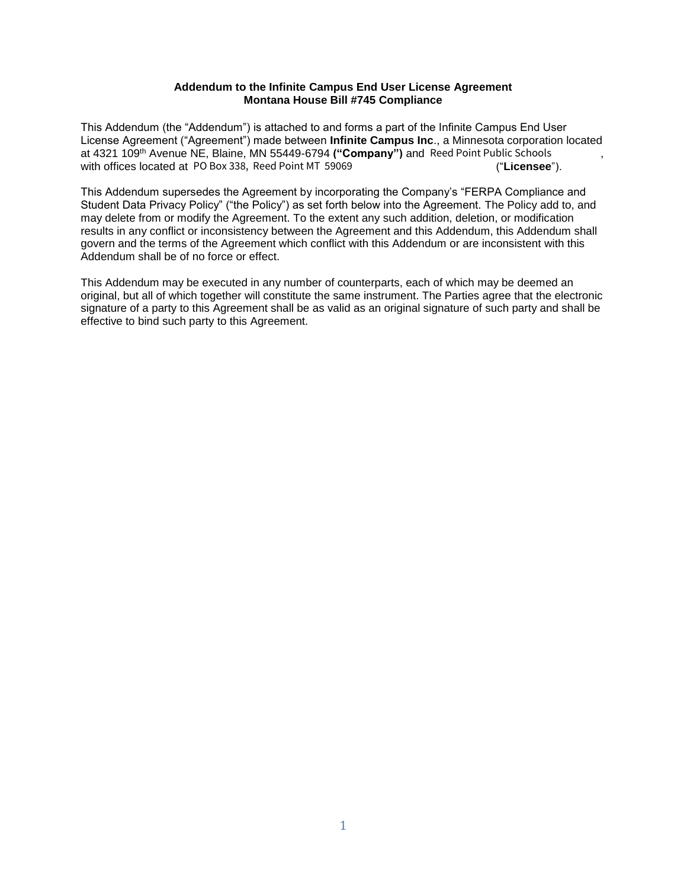## **Addendum to the Infinite Campus End User License Agreement Montana House Bill #745 Compliance**

This Addendum (the "Addendum") is attached to and forms a part of the Infinite Campus End User License Agreement ("Agreement") made between **Infinite Campus Inc**., a Minnesota corporation located at 4321 109th Avenue NE, Blaine, MN 55449-6794 **("Company")** and **{{\*districtname\_es\_:prefill }}**, PO Box 338, Reed Point MT 59069 Reed Point Public Schoolswith offices located at PO Box 338, Reed Point MT 59069 ("Licensee").

This Addendum supersedes the Agreement by incorporating the Company's "FERPA Compliance and Student Data Privacy Policy" ("the Policy") as set forth below into the Agreement. The Policy add to, and may delete from or modify the Agreement. To the extent any such addition, deletion, or modification results in any conflict or inconsistency between the Agreement and this Addendum, this Addendum shall govern and the terms of the Agreement which conflict with this Addendum or are inconsistent with this Addendum shall be of no force or effect.

This Addendum may be executed in any number of counterparts, each of which may be deemed an original, but all of which together will constitute the same instrument. The Parties agree that the electronic signature of a party to this Agreement shall be as valid as an original signature of such party and shall be effective to bind such party to this Agreement.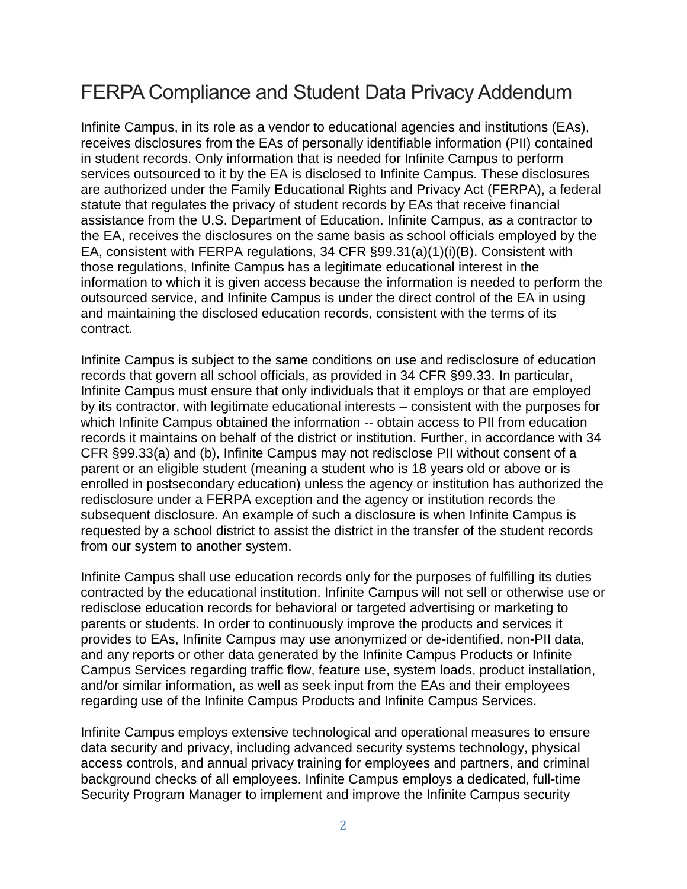## FERPA Compliance and Student Data Privacy Addendum

Infinite Campus, in its role as a vendor to educational agencies and institutions (EAs), receives disclosures from the EAs of personally identifiable information (PII) contained in student records. Only information that is needed for Infinite Campus to perform services outsourced to it by the EA is disclosed to Infinite Campus. These disclosures are authorized under the Family Educational Rights and Privacy Act (FERPA), a federal statute that regulates the privacy of student records by EAs that receive financial assistance from the U.S. Department of Education. Infinite Campus, as a contractor to the EA, receives the disclosures on the same basis as school officials employed by the EA, consistent with FERPA regulations, 34 CFR §99.31(a)(1)(i)(B). Consistent with those regulations, Infinite Campus has a legitimate educational interest in the information to which it is given access because the information is needed to perform the outsourced service, and Infinite Campus is under the direct control of the EA in using and maintaining the disclosed education records, consistent with the terms of its contract.

Infinite Campus is subject to the same conditions on use and redisclosure of education records that govern all school officials, as provided in 34 CFR §99.33. In particular, Infinite Campus must ensure that only individuals that it employs or that are employed by its contractor, with legitimate educational interests – consistent with the purposes for which Infinite Campus obtained the information -- obtain access to PII from education records it maintains on behalf of the district or institution. Further, in accordance with 34 CFR §99.33(a) and (b), Infinite Campus may not redisclose PII without consent of a parent or an eligible student (meaning a student who is 18 years old or above or is enrolled in postsecondary education) unless the agency or institution has authorized the redisclosure under a FERPA exception and the agency or institution records the subsequent disclosure. An example of such a disclosure is when Infinite Campus is requested by a school district to assist the district in the transfer of the student records from our system to another system.

Infinite Campus shall use education records only for the purposes of fulfilling its duties contracted by the educational institution. Infinite Campus will not sell or otherwise use or redisclose education records for behavioral or targeted advertising or marketing to parents or students. In order to continuously improve the products and services it provides to EAs, Infinite Campus may use anonymized or de-identified, non-PII data, and any reports or other data generated by the Infinite Campus Products or Infinite Campus Services regarding traffic flow, feature use, system loads, product installation, and/or similar information, as well as seek input from the EAs and their employees regarding use of the Infinite Campus Products and Infinite Campus Services.

Infinite Campus employs extensive technological and operational measures to ensure data security and privacy, including advanced security systems technology, physical access controls, and annual privacy training for employees and partners, and criminal background checks of all employees. Infinite Campus employs a dedicated, full-time Security Program Manager to implement and improve the Infinite Campus security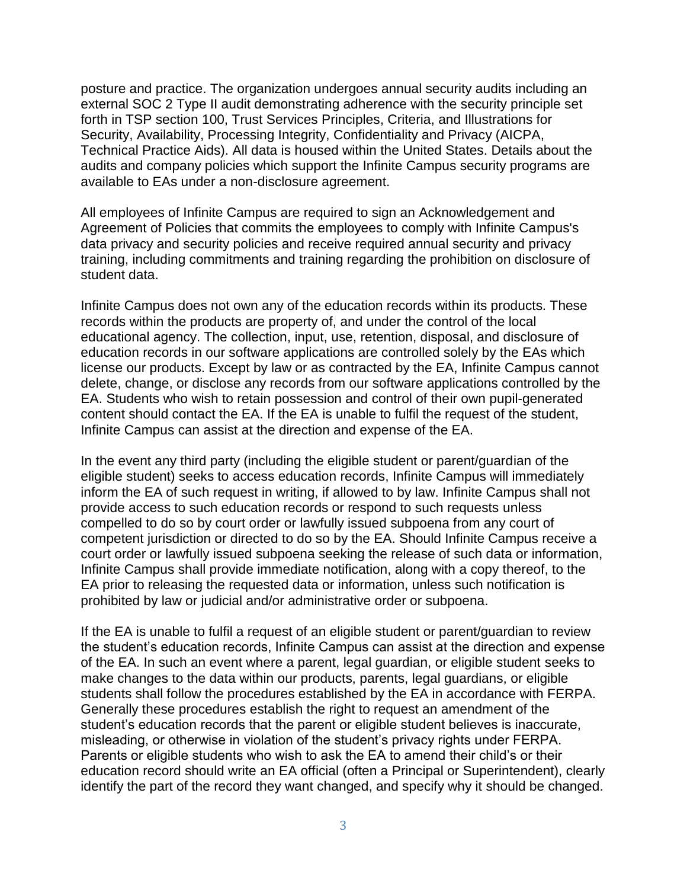posture and practice. The organization undergoes annual security audits including an external SOC 2 Type II audit demonstrating adherence with the security principle set forth in TSP section 100, Trust Services Principles, Criteria, and Illustrations for Security, Availability, Processing Integrity, Confidentiality and Privacy (AICPA, Technical Practice Aids). All data is housed within the United States. Details about the audits and company policies which support the Infinite Campus security programs are available to EAs under a non-disclosure agreement.

All employees of Infinite Campus are required to sign an Acknowledgement and Agreement of Policies that commits the employees to comply with Infinite Campus's data privacy and security policies and receive required annual security and privacy training, including commitments and training regarding the prohibition on disclosure of student data.

Infinite Campus does not own any of the education records within its products. These records within the products are property of, and under the control of the local educational agency. The collection, input, use, retention, disposal, and disclosure of education records in our software applications are controlled solely by the EAs which license our products. Except by law or as contracted by the EA, Infinite Campus cannot delete, change, or disclose any records from our software applications controlled by the EA. Students who wish to retain possession and control of their own pupil-generated content should contact the EA. If the EA is unable to fulfil the request of the student, Infinite Campus can assist at the direction and expense of the EA.

In the event any third party (including the eligible student or parent/guardian of the eligible student) seeks to access education records, Infinite Campus will immediately inform the EA of such request in writing, if allowed to by law. Infinite Campus shall not provide access to such education records or respond to such requests unless compelled to do so by court order or lawfully issued subpoena from any court of competent jurisdiction or directed to do so by the EA. Should Infinite Campus receive a court order or lawfully issued subpoena seeking the release of such data or information, Infinite Campus shall provide immediate notification, along with a copy thereof, to the EA prior to releasing the requested data or information, unless such notification is prohibited by law or judicial and/or administrative order or subpoena.

If the EA is unable to fulfil a request of an eligible student or parent/guardian to review the student's education records, Infinite Campus can assist at the direction and expense of the EA. In such an event where a parent, legal guardian, or eligible student seeks to make changes to the data within our products, parents, legal guardians, or eligible students shall follow the procedures established by the EA in accordance with FERPA. Generally these procedures establish the right to request an amendment of the student's education records that the parent or eligible student believes is inaccurate, misleading, or otherwise in violation of the student's privacy rights under FERPA. Parents or eligible students who wish to ask the EA to amend their child's or their education record should write an EA official (often a Principal or Superintendent), clearly identify the part of the record they want changed, and specify why it should be changed.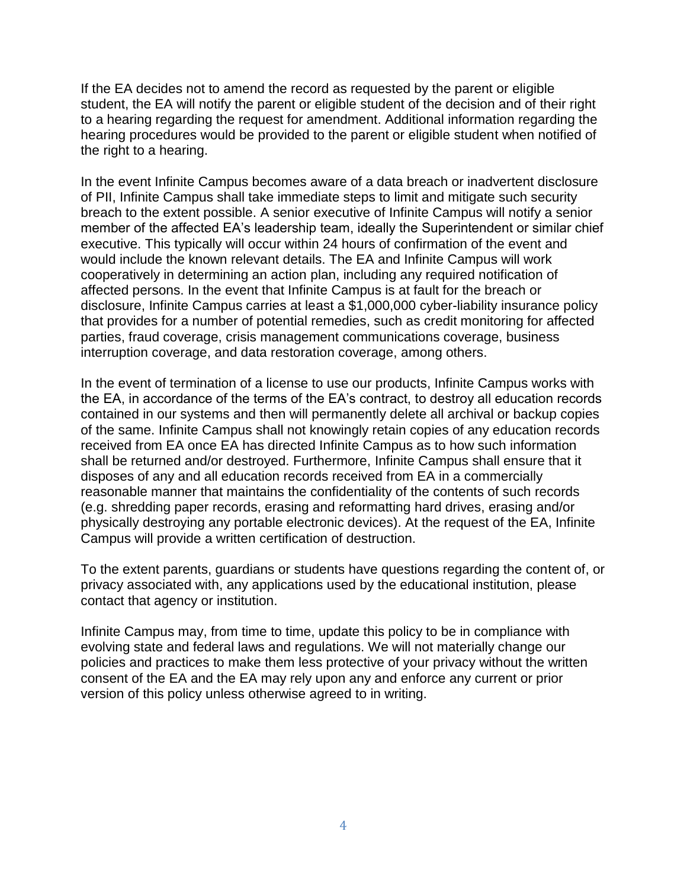If the EA decides not to amend the record as requested by the parent or eligible student, the EA will notify the parent or eligible student of the decision and of their right to a hearing regarding the request for amendment. Additional information regarding the hearing procedures would be provided to the parent or eligible student when notified of the right to a hearing.

In the event Infinite Campus becomes aware of a data breach or inadvertent disclosure of PII, Infinite Campus shall take immediate steps to limit and mitigate such security breach to the extent possible. A senior executive of Infinite Campus will notify a senior member of the affected EA's leadership team, ideally the Superintendent or similar chief executive. This typically will occur within 24 hours of confirmation of the event and would include the known relevant details. The EA and Infinite Campus will work cooperatively in determining an action plan, including any required notification of affected persons. In the event that Infinite Campus is at fault for the breach or disclosure, Infinite Campus carries at least a \$1,000,000 cyber-liability insurance policy that provides for a number of potential remedies, such as credit monitoring for affected parties, fraud coverage, crisis management communications coverage, business interruption coverage, and data restoration coverage, among others.

In the event of termination of a license to use our products, Infinite Campus works with the EA, in accordance of the terms of the EA's contract, to destroy all education records contained in our systems and then will permanently delete all archival or backup copies of the same. Infinite Campus shall not knowingly retain copies of any education records received from EA once EA has directed Infinite Campus as to how such information shall be returned and/or destroyed. Furthermore, Infinite Campus shall ensure that it disposes of any and all education records received from EA in a commercially reasonable manner that maintains the confidentiality of the contents of such records (e.g. shredding paper records, erasing and reformatting hard drives, erasing and/or physically destroying any portable electronic devices). At the request of the EA, Infinite Campus will provide a written certification of destruction.

To the extent parents, guardians or students have questions regarding the content of, or privacy associated with, any applications used by the educational institution, please contact that agency or institution.

Infinite Campus may, from time to time, update this policy to be in compliance with evolving state and federal laws and regulations. We will not materially change our policies and practices to make them less protective of your privacy without the written consent of the EA and the EA may rely upon any and enforce any current or prior version of this policy unless otherwise agreed to in writing.